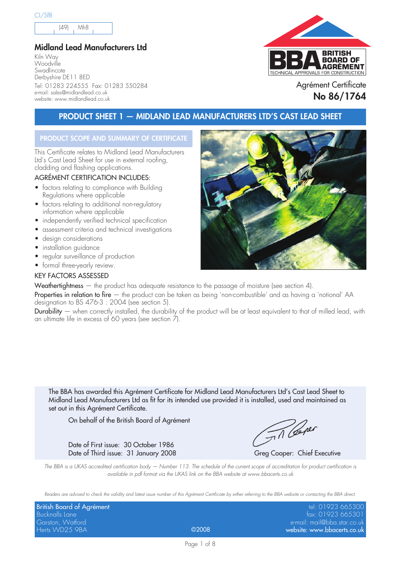(49) Mh8

#### **Midland Lead Manufacturers Ltd**

Kiln Way Woodville **Swadlincote** Derbyshire DE11 8ED Tel: 01283 224555 Fax: 01283 550284 e-mail: sales@midlandlead.co.uk website: www.midlandlead.co.uk



Agrément Certificate **No 86/1764**

### **PRODUCT SHEET 1 — MIDLAND LEAD MANUFACTURERS LTD'S CAST LEAD SHEET**

#### **PRODUCT SCOPE AND SUMMARY OF CERTIFICATE**

This Certificate relates to Midland Lead Manufacturers Ltd's Cast Lead Sheet for use in external roofing, cladding and flashing applications.

#### AGRÉMENT CERTIFICATION INCLUDES:

- factors relating to compliance with Building Regulations where applicable
- factors relating to additional non-regulatory information where applicable
- independently verified technical specification
- assessment criteria and technical investigations
- design considerations
- installation guidance
- regular surveillance of production
- formal three-yearly review.

#### KEY FACTORS ASSESSED

Weathertightness – the product has adequate resistance to the passage of moisture (see section 4).

Properties in relation to fire — the product can be taken as being 'non-combustible' and as having a 'notional' AA designation to BS 476-3 : 2004 (see section 5).

Durability — when correctly installed, the durability of the product will be at least equivalent to that of milled lead, with an ultimate life in excess of 60 years (see section 7).

The BBA has awarded this Agrément Certificate for Midland Lead Manufacturers Ltd's Cast Lead Sheet to Midland Lead Manufacturers Ltd as fit for its intended use provided it is installed, used and maintained as set out in this Agrément Certificate.

On behalf of the British Board of Agrément

Date of First issue: 30 October 1986

Til Ceper

Date of Third issue: 31 January 2008 Greg Cooper: Chief Executive

The BBA is a UKAS accredited certification body – Number 113. The schedule of the current scope of accreditation for product certification is available in pdf format via the UKAS link on the BBA website at www.bbacerts.co.uk

Readers are advised to check the validity and latest issue number of this Agrément Certificate by either referring to the BBA website or contacting the BBA direct.

| British Board of Agrément |                 | tel: 01923 665300           |
|---------------------------|-----------------|-----------------------------|
| Bucknalls Lane            |                 | fax: 01923 665301           |
| Garston, Watford          |                 | e-mail: mail@bba.star.co.uk |
| Herts WD25 9BA            | $\bigcirc$ 2008 | website: www.bbacerts.co.uk |

Page 1 of 8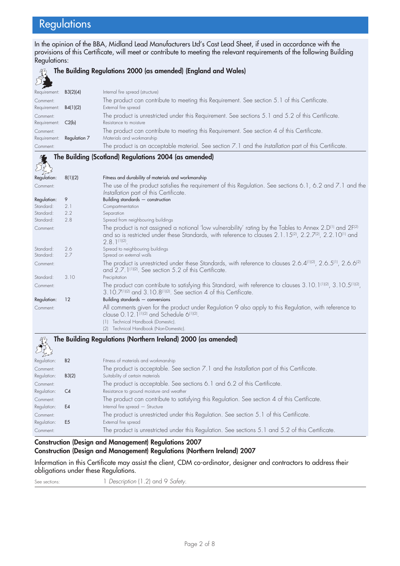# **Regulations**

In the opinion of the BBA, Midland Lead Manufacturers Ltd's Cast Lead Sheet, if used in accordance with the provisions of this Certificate, will meet or contribute to meeting the relevant requirements of the following Building Regulations:



# **The Building Regulations 2000 (as amended) (England and Wales)**

| Internal fire spread (structure)                                                                                                                                                                                                                                                                           |
|------------------------------------------------------------------------------------------------------------------------------------------------------------------------------------------------------------------------------------------------------------------------------------------------------------|
| The product can contribute to meeting this Requirement. See section 5.1 of this Certificate.                                                                                                                                                                                                               |
| External fire spread                                                                                                                                                                                                                                                                                       |
| The product is unrestricted under this Requirement. See sections 5.1 and 5.2 of this Certificate.                                                                                                                                                                                                          |
| Resistance to moisture                                                                                                                                                                                                                                                                                     |
| The product can contribute to meeting this Requirement. See section 4 of this Certificate.                                                                                                                                                                                                                 |
| Materials and workmanship                                                                                                                                                                                                                                                                                  |
| The product is an acceptable material. See section 7.1 and the Installation part of this Certificate.                                                                                                                                                                                                      |
| The Building (Scotland) Regulations 2004 (as amended)                                                                                                                                                                                                                                                      |
|                                                                                                                                                                                                                                                                                                            |
|                                                                                                                                                                                                                                                                                                            |
| Fitness and durability of materials and workmanship                                                                                                                                                                                                                                                        |
| The use of the product satisfies the requirement of this Regulation. See sections 6.1, 6.2 and 7.1 and the<br>Installation part of this Certificate.                                                                                                                                                       |
| Building standards - construction                                                                                                                                                                                                                                                                          |
| Compartmentation                                                                                                                                                                                                                                                                                           |
| Separation                                                                                                                                                                                                                                                                                                 |
| Spread from neighbouring buildings                                                                                                                                                                                                                                                                         |
| The product is not assigned a notional 'low vulnerability' rating by the Tables to Annex 2. D <sup>(1)</sup> and 2F <sup>(2)</sup><br>and so is restricted under these Standards, with reference to clauses 2.1.15 <sup>(2)</sup> , 2.2.7 <sup>(2)</sup> , 2.2.10 <sup>(1)</sup> and<br>$2.8.1^{(1)(2)}$ . |
| Spread to neighbouring buildings<br>Spread on external walls                                                                                                                                                                                                                                               |
| The product is unrestricted under these Standards, with reference to clauses 2.6.4 <sup>(1)(2)</sup> , 2.6.5 <sup>(1)</sup> , 2.6.6 <sup>(2)</sup><br>and 2.7.1 <sup>(1)(2)</sup> . See section 5.2 of this Certificate.                                                                                   |
| Precipitation                                                                                                                                                                                                                                                                                              |
| The product can contribute to satisfying this Standard, with reference to clauses $3.10.1^{(1)(2)}$ , $3.10.5^{(1)(2)}$ ,<br>3.10.7(1)(2) and 3.10.8(1)(2). See section 4 of this Certificate.                                                                                                             |
| Building standards - conversions                                                                                                                                                                                                                                                                           |
| All comments given for the product under Regulation 9 also apply to this Regulation, with reference to<br>clause 0.12.1 <sup>(1)(2)</sup> and Schedule 6 <sup>(1)(2)</sup> .                                                                                                                               |
| (1) Technical Handbook (Domestic).                                                                                                                                                                                                                                                                         |
| (2) Technical Handbook (Non-Domestic).                                                                                                                                                                                                                                                                     |
| The Building Regulations (Northern Ireland) 2000 (as amended)                                                                                                                                                                                                                                              |

| $\sum_{\alpha}$         |                |                                                                                                                               |
|-------------------------|----------------|-------------------------------------------------------------------------------------------------------------------------------|
| Regulation:             | <b>B2</b>      | Fitness of materials and workmanship                                                                                          |
| Comment:<br>Regulation: | B3(2)          | The product is acceptable. See section 7.1 and the Installation part of this Certificate.<br>Suitability of certain materials |
| Comment:                |                | The product is acceptable. See sections 6.1 and 6.2 of this Certificate.                                                      |
| Regulation:             | C4             | Resistance to ground moisture and weather                                                                                     |
| Comment:                |                | The product can contribute to satisfying this Regulation. See section 4 of this Certificate.                                  |
| Regulation:             | E4             | Internal fire spread - Structure                                                                                              |
| Comment:                |                | The product is unrestricted under this Regulation. See section 5.1 of this Certificate.                                       |
| Regulation:             | E <sub>5</sub> | External fire spread                                                                                                          |
| Comment:                |                | The product is unrestricted under this Regulation. See sections 5.1 and 5.2 of this Certificate.                              |

#### **Construction (Design and Management) Regulations 2007**

#### **Construction (Design and Management) Regulations (Northern Ireland) 2007**

Information in this Certificate may assist the client, CDM co-ordinator, designer and contractors to address their obligations under these Regulations.

See sections: 1 Description (1.2) and 9 Safety.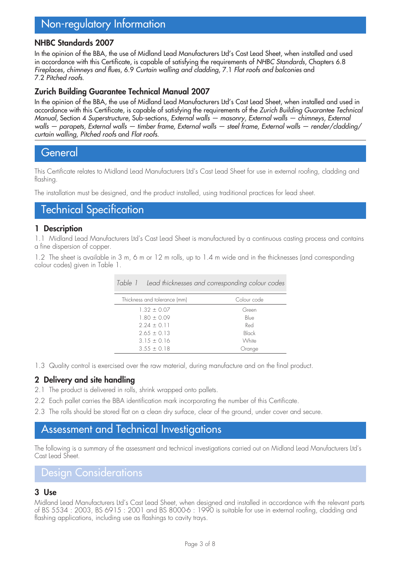# Non-regulatory Information

#### **NHBC Standards 2007**

In the opinion of the BBA, the use of Midland Lead Manufacturers Ltd's Cast Lead Sheet, when installed and used in accordance with this Certificate, is capable of satisfying the requirements of NHBC Standards, Chapters 6.8 Fireplaces, chimneys and flues, 6.9 Curtain walling and cladding, 7.1 Flat roofs and balconies and 7.2 Pitched roofs.

#### **Zurich Building Guarantee Technical Manual 2007**

In the opinion of the BBA, the use of Midland Lead Manufacturers Ltd's Cast Lead Sheet, when installed and used in accordance with this Certificate, is capable of satisfying the requirements of the Zurich Building Guarantee Technical Manual, Section 4 Superstructure, Sub-sections, External walls — masonry, External walls — chimneys, External walls — parapets, External walls — timber frame, External walls — steel frame, External walls — render/cladding/ curtain walling, Pitched roofs and Flat roofs.

### **General**

This Certificate relates to Midland Lead Manufacturers Ltd's Cast Lead Sheet for use in external roofing, cladding and flashing.

The installation must be designed, and the product installed, using traditional practices for lead sheet.

# Technical Specification

#### **1 Description**

1.1 Midland Lead Manufacturers Ltd's Cast Lead Sheet is manufactured by a continuous casting process and contains a fine dispersion of copper.

1.2 The sheet is available in 3 m, 6 m or 12 m rolls, up to 1.4 m wide and in the thicknesses (and corresponding colour codes) given in Table 1.

| Table 1 Lead thicknesses and corresponding colour codes |             |
|---------------------------------------------------------|-------------|
| Thickness and tolerance (mm)                            | Colour code |
| $1.32 \pm 0.07$                                         | Green       |
| $1.80 \pm 0.09$                                         | Blue        |
| $2.24 \pm 0.11$                                         | Red         |
| $2.65 \pm 0.13$                                         | Black       |
| $3.15 \pm 0.16$                                         | White       |
| $3.55 \pm 0.18$                                         | Orange      |

1.3 Quality control is exercised over the raw material, during manufacture and on the final product.

#### **2 Delivery and site handling**

- 2.1 The product is delivered in rolls, shrink wrapped onto pallets.
- 2.2 Each pallet carries the BBA identification mark incorporating the number of this Certificate.
- 2.3 The rolls should be stored flat on a clean dry surface, clear of the ground, under cover and secure.

## Assessment and Technical Investigations

The following is a summary of the assessment and technical investigations carried out on Midland Lead Manufacturers Ltd's Cast Lead Sheet.

### Design Considerations

### **3 Use**

Midland Lead Manufacturers Ltd's Cast Lead Sheet, when designed and installed in accordance with the relevant parts of BS 5534 : 2003, BS 6915 : 2001 and BS 8000-6 : 1990 is suitable for use in external roofing, cladding and flashing applications, including use as flashings to cavity trays.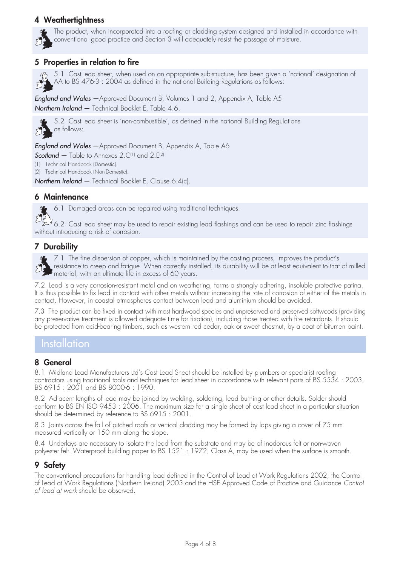#### **4 Weathertightness**



The product, when incorporated into a roofing or cladding system designed and installed in accordance with conventional good practice and Section 3 will adequately resist the passage of moisture.

#### **5 Properties in relation to fire**

43 5.1 Cast lead sheet, when used on an appropriate sub-structure, has been given a 'notional' designation of AA to BS 476-3 : 2004 as defined in the national Building Regulations as follows:

England and Wales - Approved Document B, Volumes 1 and 2, Appendix A, Table A5 Northern Ireland - Technical Booklet E, Table 4.6.



5.2 Cast lead sheet is 'non-combustible', as defined in the national Building Regulations as follows:

**England and Wales** — Approved Document B, Appendix A, Table A6

Scotland  $-$  Table to Annexes 2.C<sup>(1)</sup> and 2.E<sup>(2)</sup>

(1) Technical Handbook (Domestic).

(2) Technical Handbook (Non-Domestic).

Northern Ireland – Technical Booklet E, Clause 6.4(c).

#### **6 Maintenance**

6.1 Damaged areas can be repaired using traditional techniques.

ولم يوسيق 6.2 Cast lead sheet may be used to repair existing lead flashings and can be used to repair zinc flashings without introducing a risk of corrosion.

#### **7 Durability**



7.1 The fine dispersion of copper, which is maintained by the casting process, improves the product's resistance to creep and fatigue. When correctly installed, its durability will be at least equivalent to that of milled material, with an ultimate life in excess of 60 years.

7.2 Lead is a very corrosion-resistant metal and on weathering, forms a strongly adhering, insoluble protective patina. It is thus possible to fix lead in contact with other metals without increasing the rate of corrosion of either of the metals in contact. However, in coastal atmospheres contact between lead and aluminium should be avoided.

7.3 The product can be fixed in contact with most hardwood species and unpreserved and preserved softwoods (providing any preservative treatment is allowed adequate time for fixation), including those treated with fire retardants. It should be protected from acid-bearing timbers, such as western red cedar, oak or sweet chestnut, by a coat of bitumen paint.

### **Installation**

#### **8 General**

8.1 Midland Lead Manufacturers Ltd's Cast Lead Sheet should be installed by plumbers or specialist roofing contractors using traditional tools and techniques for lead sheet in accordance with relevant parts of BS 5534 : 2003, BS 6915 : 2001 and BS 8000-6 : 1990.

8.2 Adjacent lengths of lead may be joined by welding, soldering, lead burning or other details. Solder should conform to BS EN ISO 9453 : 2006. The maximum size for a single sheet of cast lead sheet in a particular situation should be determined by reference to BS 6915 : 2001.

8.3 Joints across the fall of pitched roofs or vertical cladding may be formed by laps giving a cover of 75 mm measured vertically or 150 mm along the slope.

8.4 Underlays are necessary to isolate the lead from the substrate and may be of inodorous felt or non-woven polyester felt. Waterproof building paper to BS 1521 : 1972, Class A, may be used when the surface is smooth.

#### **9 Safety**

The conventional precautions for handling lead defined in the Control of Lead at Work Regulations 2002, the Control of Lead at Work Regulations (Northern Ireland) 2003 and the HSE Approved Code of Practice and Guidance Control of lead at work should be observed.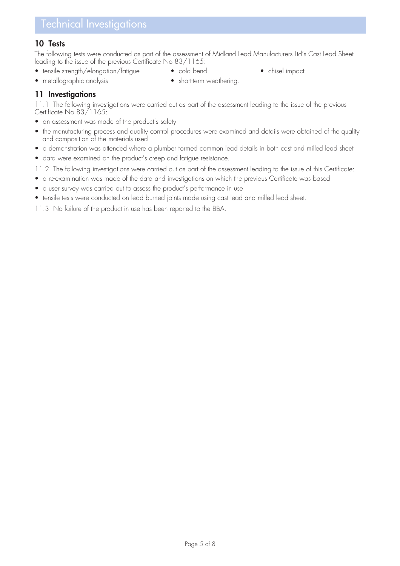#### **10 Tests**

The following tests were conducted as part of the assessment of Midland Lead Manufacturers Ltd's Cast Lead Sheet leading to the issue of the previous Certificate No 83/1165:

- tensile strength/elongation/fatigue cold bend chisel impact
- 
- 
- metallographic analysis short-term weathering.
- 

**11 Investigations**

11.1 The following investigations were carried out as part of the assessment leading to the issue of the previous Certificate No 83/1165:

- an assessment was made of the product's safety
- the manufacturing process and quality control procedures were examined and details were obtained of the quality and composition of the materials used
- a demonstration was attended where a plumber formed common lead details in both cast and milled lead sheet
- data were examined on the product's creep and fatigue resistance.

11.2 The following investigations were carried out as part of the assessment leading to the issue of this Certificate:

- a re-examination was made of the data and investigations on which the previous Certificate was based
- a user survey was carried out to assess the product's performance in use
- tensile tests were conducted on lead burned joints made using cast lead and milled lead sheet.

11.3 No failure of the product in use has been reported to the BBA.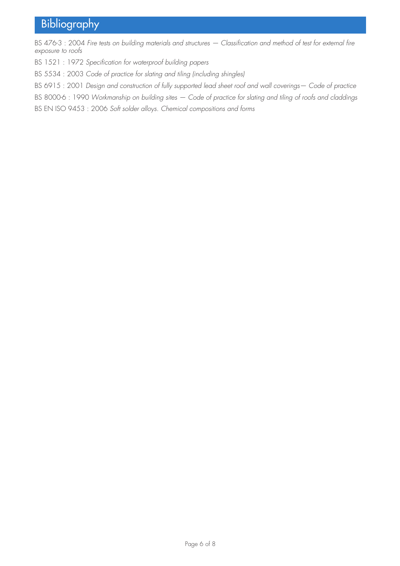# **Bibliography**

BS 476-3 : 2004 Fire tests on building materials and structures - Classification and method of test for external fire exposure to roofs

BS 1521 : 1972 Specification for waterproof building papers

BS 5534 : 2003 Code of practice for slating and tiling (including shingles)

BS 6915 : 2001 Design and construction of fully supported lead sheet roof and wall coverings— Code of practice

BS 8000-6 : 1990 Workmanship on building sites — Code of practice for slating and tiling of roofs and claddings

BS EN ISO 9453 : 2006 Soft solder alloys. Chemical compositions and forms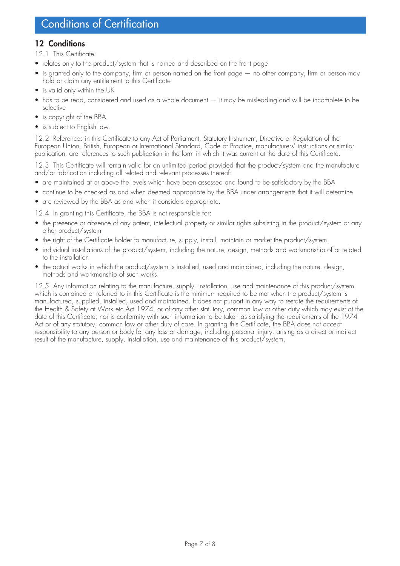#### **12 Conditions**

- 12.1 This Certificate:
- relates only to the product/system that is named and described on the front page
- is granted only to the company, firm or person named on the front page no other company, firm or person may hold or claim any entitlement to this Certificate
- is valid only within the UK
- has to be read, considered and used as a whole document it may be misleading and will be incomplete to be selective
- is copyright of the BBA
- is subject to English law.

12.2 References in this Certificate to any Act of Parliament, Statutory Instrument, Directive or Regulation of the European Union, British, European or International Standard, Code of Practice, manufacturers' instructions or similar publication, are references to such publication in the form in which it was current at the date of this Certificate.

12.3 This Certificate will remain valid for an unlimited period provided that the product/system and the manufacture and/or fabrication including all related and relevant processes thereof:

- are maintained at or above the levels which have been assessed and found to be satisfactory by the BBA
- continue to be checked as and when deemed appropriate by the BBA under arrangements that it will determine
- are reviewed by the BBA as and when it considers appropriate.

12.4 In granting this Certificate, the BBA is not responsible for:

- the presence or absence of any patent, intellectual property or similar rights subsisting in the product/system or any other product/system
- the right of the Certificate holder to manufacture, supply, install, maintain or market the product/system
- individual installations of the product/system, including the nature, design, methods and workmanship of or related to the installation
- the actual works in which the product/system is installed, used and maintained, including the nature, design, methods and workmanship of such works.

12.5 Any information relating to the manufacture, supply, installation, use and maintenance of this product/system which is contained or referred to in this Certificate is the minimum required to be met when the product/system is manufactured, supplied, installed, used and maintained. It does not purport in any way to restate the requirements of the Health & Safety at Work etc Act 1974, or of any other statutory, common law or other duty which may exist at the date of this Certificate; nor is conformity with such information to be taken as satisfying the requirements of the 1974 Act or of any statutory, common law or other duty of care. In granting this Certificate, the BBA does not accept responsibility to any person or body for any loss or damage, including personal injury, arising as a direct or indirect result of the manufacture, supply, installation, use and maintenance of this product/system.